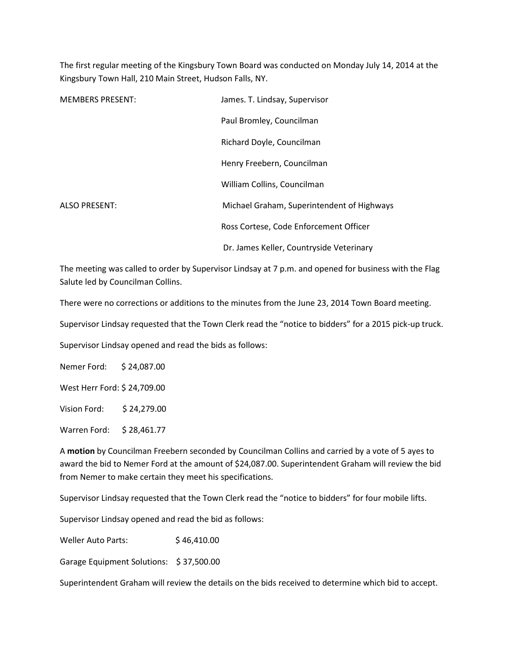The first regular meeting of the Kingsbury Town Board was conducted on Monday July 14, 2014 at the Kingsbury Town Hall, 210 Main Street, Hudson Falls, NY.

| <b>MEMBERS PRESENT:</b> | James. T. Lindsay, Supervisor              |
|-------------------------|--------------------------------------------|
|                         | Paul Bromley, Councilman                   |
|                         | Richard Doyle, Councilman                  |
|                         | Henry Freebern, Councilman                 |
|                         | William Collins, Councilman                |
| ALSO PRESENT:           | Michael Graham, Superintendent of Highways |
|                         | Ross Cortese, Code Enforcement Officer     |
|                         | Dr. James Keller, Countryside Veterinary   |

The meeting was called to order by Supervisor Lindsay at 7 p.m. and opened for business with the Flag Salute led by Councilman Collins.

There were no corrections or additions to the minutes from the June 23, 2014 Town Board meeting.

Supervisor Lindsay requested that the Town Clerk read the "notice to bidders" for a 2015 pick-up truck.

Supervisor Lindsay opened and read the bids as follows:

Nemer Ford: \$ 24,087.00

West Herr Ford: \$ 24,709.00

Vision Ford: \$ 24,279.00

Warren Ford: \$ 28,461.77

A motion by Councilman Freebern seconded by Councilman Collins and carried by a vote of 5 ayes to award the bid to Nemer Ford at the amount of \$24,087.00. Superintendent Graham will review the bid from Nemer to make certain they meet his specifications.

Supervisor Lindsay requested that the Town Clerk read the "notice to bidders" for four mobile lifts.

Supervisor Lindsay opened and read the bid as follows:

Weller Auto Parts:  $$46,410.00$ 

Garage Equipment Solutions: \$ 37,500.00

Superintendent Graham will review the details on the bids received to determine which bid to accept.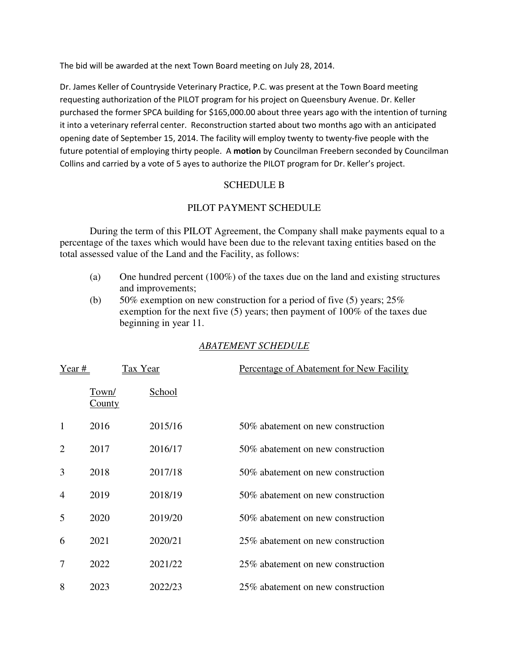The bid will be awarded at the next Town Board meeting on July 28, 2014.

Dr. James Keller of Countryside Veterinary Practice, P.C. was present at the Town Board meeting requesting authorization of the PILOT program for his project on Queensbury Avenue. Dr. Keller purchased the former SPCA building for \$165,000.00 about three years ago with the intention of turning it into a veterinary referral center. Reconstruction started about two months ago with an anticipated opening date of September 15, 2014. The facility will employ twenty to twenty-five people with the future potential of employing thirty people. A motion by Councilman Freebern seconded by Councilman Collins and carried by a vote of 5 ayes to authorize the PILOT program for Dr. Keller's project.

## SCHEDULE B

# PILOT PAYMENT SCHEDULE

During the term of this PILOT Agreement, the Company shall make payments equal to a percentage of the taxes which would have been due to the relevant taxing entities based on the total assessed value of the Land and the Facility, as follows:

- (a) One hundred percent (100%) of the taxes due on the land and existing structures and improvements;
- (b) 50% exemption on new construction for a period of five (5) years;  $25\%$ exemption for the next five (5) years; then payment of 100% of the taxes due beginning in year 11.

# *ABATEMENT SCHEDULE*

| Year #         | Tax Year               |         | Percentage of Abatement for New Facility |
|----------------|------------------------|---------|------------------------------------------|
|                | Town/<br><u>County</u> | School  |                                          |
| 1              | 2016                   | 2015/16 | 50\% abatement on new construction       |
| $\overline{2}$ | 2017                   | 2016/17 | 50% abatement on new construction        |
| 3              | 2018                   | 2017/18 | 50% abatement on new construction        |
| $\overline{4}$ | 2019                   | 2018/19 | 50% abatement on new construction        |
| 5              | 2020                   | 2019/20 | 50% abatement on new construction        |
| 6              | 2021                   | 2020/21 | 25% abatement on new construction        |
| 7              | 2022                   | 2021/22 | 25% abatement on new construction        |
| 8              | 2023                   | 2022/23 | 25\% abatement on new construction       |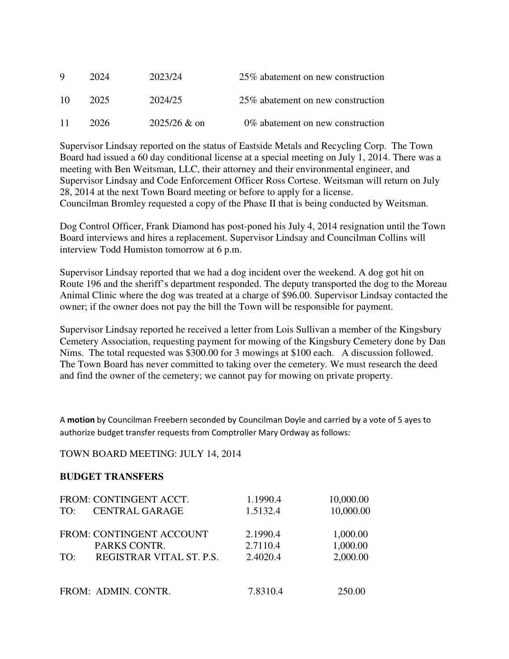| Q   | 2024 | 2023/24        | 25\% abatement on new construction |
|-----|------|----------------|------------------------------------|
| -10 | 2025 | 2024/25        | 25\% abatement on new construction |
| -11 | 2026 | $2025/26 &$ on | 0% abatement on new construction   |

Supervisor Lindsay reported on the status of Eastside Metals and Recycling Corp. The Town Board had issued a 60 day conditional license at a special meeting on July 1, 2014. There was a meeting with Ben Weitsman, LLC, their attorney and their environmental engineer, and Supervisor Lindsay and Code Enforcement Officer Ross Cortese. Weitsman will return on July 28, 2014 at the next Town Board meeting or before to apply for a license. Councilman Bromley requested a copy of the Phase II that is being conducted by Weitsman.

Dog Control Officer, Frank Diamond has post-poned his July 4, 2014 resignation until the Town Board interviews and hires a replacement. Supervisor Lindsay and Councilman Collins will interview Todd Humiston tomorrow at 6 p.m.

Supervisor Lindsay reported that we had a dog incident over the weekend. A dog got hit on Route 196 and the sheriff's department responded. The deputy transported the dog to the Moreau Animal Clinic where the dog was treated at a charge of \$96.00. Supervisor Lindsay contacted the owner; if the owner does not pay the bill the Town will be responsible for payment.

Supervisor Lindsay reported he received a letter from Lois Sullivan a member of the Kingsbury Cemetery Association, requesting payment for mowing of the Kingsbury Cemetery done by Dan Nims. The total requested was \$300.00 for 3 mowings at \$100 each. A discussion followed. The Town Board has never committed to taking over the cemetery. We must research the deed and find the owner of the cemetery; we cannot pay for mowing on private property.

A motion by Councilman Freebern seconded by Councilman Doyle and carried by a vote of 5 ayes to authorize budget transfer requests from Comptroller Mary Ordway as follows:

## TOWN BOARD MEETING: JULY 14, 2014

## **BUDGET TRANSFERS**

| TO: | FROM: CONTINGENT ACCT.<br><b>CENTRAL GARAGE</b> | 1.1990.4<br>1.5132.4 | 10,000.00<br>10,000.00 |
|-----|-------------------------------------------------|----------------------|------------------------|
|     | FROM: CONTINGENT ACCOUNT                        | 2.1990.4             | 1,000.00               |
|     | PARKS CONTR.                                    | 2.7110.4             | 1,000.00               |
| TO: | REGISTRAR VITAL ST. P.S.                        | 2.4020.4             | 2,000.00               |
|     |                                                 |                      |                        |
|     | FROM: ADMIN. CONTR.                             | 7.8310.4             | 250.00                 |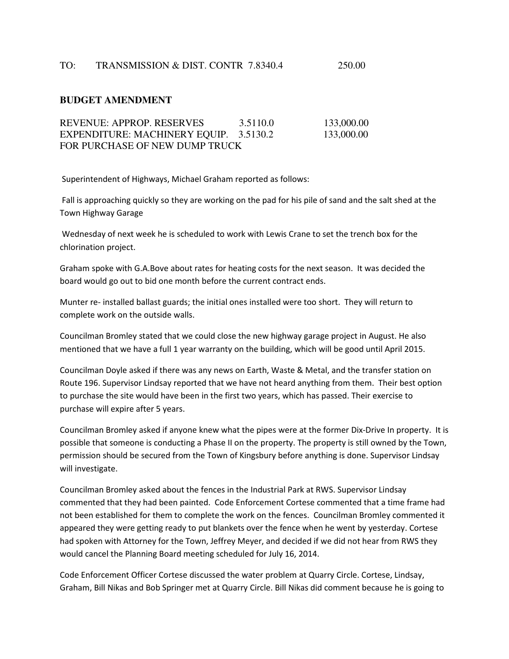#### **BUDGET AMENDMENT**

| REVENUE: APPROP. RESERVES              | 3.5110.0 | 133,000.00 |
|----------------------------------------|----------|------------|
| EXPENDITURE: MACHINERY EQUIP. 3.5130.2 |          | 133,000.00 |
| FOR PURCHASE OF NEW DUMP TRUCK         |          |            |

Superintendent of Highways, Michael Graham reported as follows:

 Fall is approaching quickly so they are working on the pad for his pile of sand and the salt shed at the Town Highway Garage

 Wednesday of next week he is scheduled to work with Lewis Crane to set the trench box for the chlorination project.

Graham spoke with G.A.Bove about rates for heating costs for the next season. It was decided the board would go out to bid one month before the current contract ends.

Munter re- installed ballast guards; the initial ones installed were too short. They will return to complete work on the outside walls.

Councilman Bromley stated that we could close the new highway garage project in August. He also mentioned that we have a full 1 year warranty on the building, which will be good until April 2015.

Councilman Doyle asked if there was any news on Earth, Waste & Metal, and the transfer station on Route 196. Supervisor Lindsay reported that we have not heard anything from them. Their best option to purchase the site would have been in the first two years, which has passed. Their exercise to purchase will expire after 5 years.

Councilman Bromley asked if anyone knew what the pipes were at the former Dix-Drive In property. It is possible that someone is conducting a Phase II on the property. The property is still owned by the Town, permission should be secured from the Town of Kingsbury before anything is done. Supervisor Lindsay will investigate.

Councilman Bromley asked about the fences in the Industrial Park at RWS. Supervisor Lindsay commented that they had been painted. Code Enforcement Cortese commented that a time frame had not been established for them to complete the work on the fences. Councilman Bromley commented it appeared they were getting ready to put blankets over the fence when he went by yesterday. Cortese had spoken with Attorney for the Town, Jeffrey Meyer, and decided if we did not hear from RWS they would cancel the Planning Board meeting scheduled for July 16, 2014.

Code Enforcement Officer Cortese discussed the water problem at Quarry Circle. Cortese, Lindsay, Graham, Bill Nikas and Bob Springer met at Quarry Circle. Bill Nikas did comment because he is going to